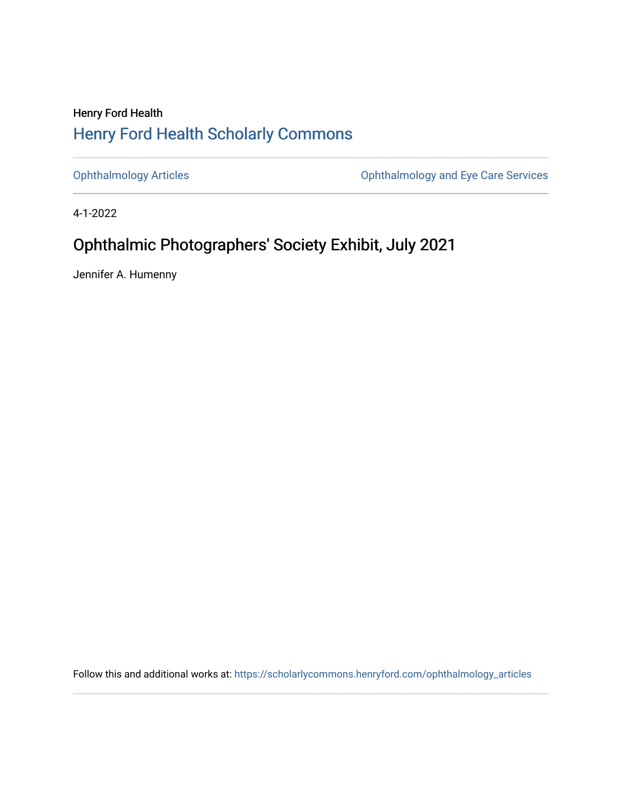## Henry Ford Health [Henry Ford Health Scholarly Commons](https://scholarlycommons.henryford.com/)

[Ophthalmology Articles](https://scholarlycommons.henryford.com/ophthalmology_articles) [Ophthalmology and Eye Care Services](https://scholarlycommons.henryford.com/ophthalmology) 

4-1-2022

# Ophthalmic Photographers' Society Exhibit, July 2021

Jennifer A. Humenny

Follow this and additional works at: [https://scholarlycommons.henryford.com/ophthalmology\\_articles](https://scholarlycommons.henryford.com/ophthalmology_articles?utm_source=scholarlycommons.henryford.com%2Fophthalmology_articles%2F73&utm_medium=PDF&utm_campaign=PDFCoverPages)